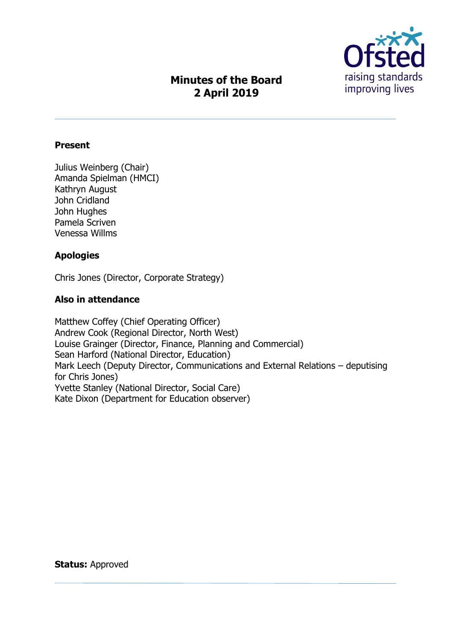

# **Minutes of the Board 2 April 2019**

#### **Present**

Julius Weinberg (Chair) Amanda Spielman (HMCI) Kathryn August John Cridland John Hughes Pamela Scriven Venessa Willms

#### **Apologies**

Chris Jones (Director, Corporate Strategy)

#### **Also in attendance**

Matthew Coffey (Chief Operating Officer) Andrew Cook (Regional Director, North West) Louise Grainger (Director, Finance, Planning and Commercial) Sean Harford (National Director, Education) Mark Leech (Deputy Director, Communications and External Relations – deputising for Chris Jones) Yvette Stanley (National Director, Social Care) Kate Dixon (Department for Education observer)

**Status:** Approved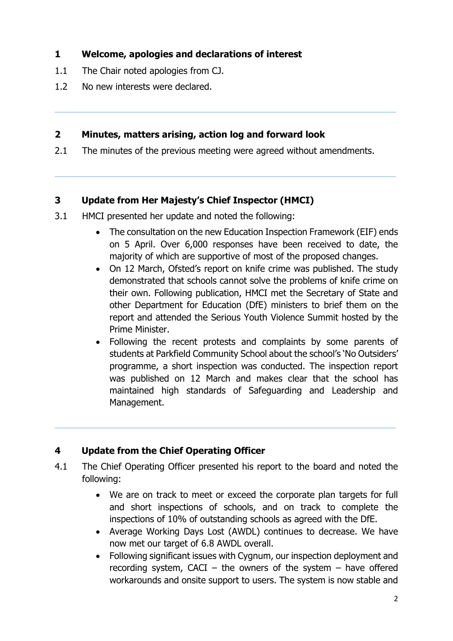# **1 Welcome, apologies and declarations of interest**

- 1.1 The Chair noted apologies from CJ.
- 1.2 No new interests were declared.

## **2 Minutes, matters arising, action log and forward look**

2.1 The minutes of the previous meeting were agreed without amendments.

# **3 Update from Her Majesty's Chief Inspector (HMCI)**

- 3.1 HMCI presented her update and noted the following:
	- The consultation on the new Education Inspection Framework (EIF) ends on 5 April. Over 6,000 responses have been received to date, the majority of which are supportive of most of the proposed changes.
	- On 12 March, Ofsted's report on knife crime was published. The study demonstrated that schools cannot solve the problems of knife crime on their own. Following publication, HMCI met the Secretary of State and other Department for Education (DfE) ministers to brief them on the report and attended the Serious Youth Violence Summit hosted by the Prime Minister.
	- Following the recent protests and complaints by some parents of students at Parkfield Community School about the school's 'No Outsiders' programme, a short inspection was conducted. The inspection report was published on 12 March and makes clear that the school has maintained high standards of Safeguarding and Leadership and Management.

# **4 Update from the Chief Operating Officer**

- 4.1 The Chief Operating Officer presented his report to the board and noted the following:
	- We are on track to meet or exceed the corporate plan targets for full and short inspections of schools, and on track to complete the inspections of 10% of outstanding schools as agreed with the DfE.
	- Average Working Days Lost (AWDL) continues to decrease. We have now met our target of 6.8 AWDL overall.
	- Following significant issues with Cygnum, our inspection deployment and recording system, CACI – the owners of the system – have offered workarounds and onsite support to users. The system is now stable and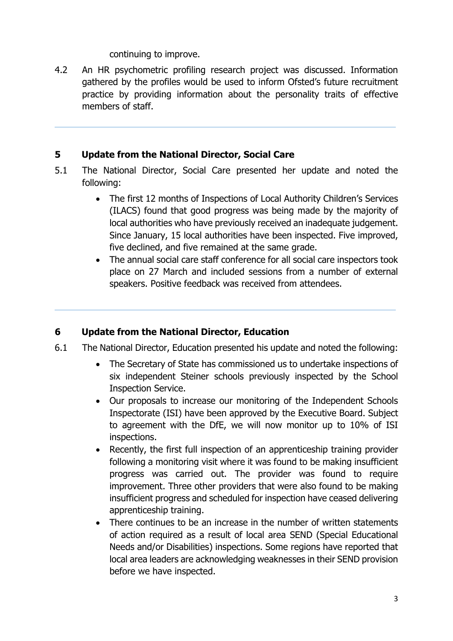#### continuing to improve.

4.2 An HR psychometric profiling research project was discussed. Information gathered by the profiles would be used to inform Ofsted's future recruitment practice by providing information about the personality traits of effective members of staff.

#### **5 Update from the National Director, Social Care**

- 5.1 The National Director, Social Care presented her update and noted the following:
	- The first 12 months of Inspections of Local Authority Children's Services (ILACS) found that good progress was being made by the majority of local authorities who have previously received an inadequate judgement. Since January, 15 local authorities have been inspected. Five improved, five declined, and five remained at the same grade.
	- The annual social care staff conference for all social care inspectors took place on 27 March and included sessions from a number of external speakers. Positive feedback was received from attendees.

## **6 Update from the National Director, Education**

- 6.1 The National Director, Education presented his update and noted the following:
	- The Secretary of State has commissioned us to undertake inspections of six independent Steiner schools previously inspected by the School Inspection Service.
	- Our proposals to increase our monitoring of the Independent Schools Inspectorate (ISI) have been approved by the Executive Board. Subject to agreement with the DfE, we will now monitor up to 10% of ISI inspections.
	- Recently, the first full inspection of an apprenticeship training provider following a monitoring visit where it was found to be making insufficient progress was carried out. The provider was found to require improvement. Three other providers that were also found to be making insufficient progress and scheduled for inspection have ceased delivering apprenticeship training.
	- There continues to be an increase in the number of written statements of action required as a result of local area SEND (Special Educational Needs and/or Disabilities) inspections. Some regions have reported that local area leaders are acknowledging weaknesses in their SEND provision before we have inspected.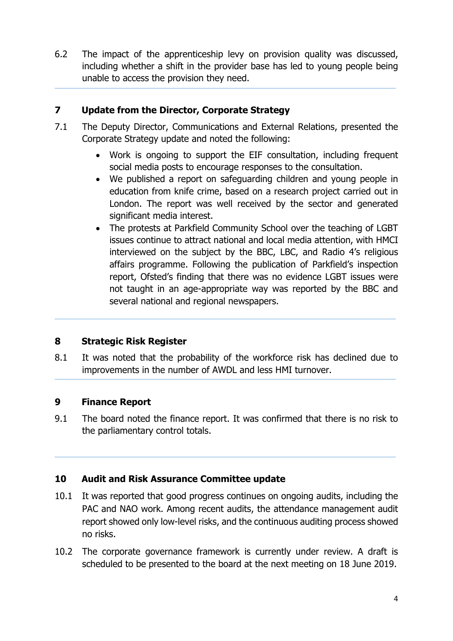6.2 The impact of the apprenticeship levy on provision quality was discussed, including whether a shift in the provider base has led to young people being unable to access the provision they need.

## **7 Update from the Director, Corporate Strategy**

- 7.1 The Deputy Director, Communications and External Relations, presented the Corporate Strategy update and noted the following:
	- Work is ongoing to support the EIF consultation, including frequent social media posts to encourage responses to the consultation.
	- We published a report on safeguarding children and young people in education from knife crime, based on a research project carried out in London. The report was well received by the sector and generated significant media interest.
	- The protests at Parkfield Community School over the teaching of LGBT issues continue to attract national and local media attention, with HMCI interviewed on the subject by the BBC, LBC, and Radio 4's religious affairs programme. Following the publication of Parkfield's inspection report, Ofsted's finding that there was no evidence LGBT issues were not taught in an age-appropriate way was reported by the BBC and several national and regional newspapers.

## **8 Strategic Risk Register**

8.1 It was noted that the probability of the workforce risk has declined due to improvements in the number of AWDL and less HMI turnover.

## **9 Finance Report**

9.1 The board noted the finance report. It was confirmed that there is no risk to the parliamentary control totals.

## **10 Audit and Risk Assurance Committee update**

- 10.1 It was reported that good progress continues on ongoing audits, including the PAC and NAO work. Among recent audits, the attendance management audit report showed only low-level risks, and the continuous auditing process showed no risks.
- 10.2 The corporate governance framework is currently under review. A draft is scheduled to be presented to the board at the next meeting on 18 June 2019.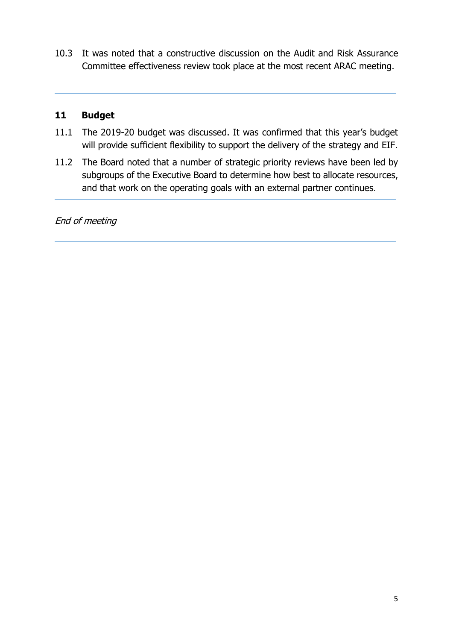10.3 It was noted that a constructive discussion on the Audit and Risk Assurance Committee effectiveness review took place at the most recent ARAC meeting.

#### **11 Budget**

- 11.1 The 2019-20 budget was discussed. It was confirmed that this year's budget will provide sufficient flexibility to support the delivery of the strategy and EIF.
- 11.2 The Board noted that a number of strategic priority reviews have been led by subgroups of the Executive Board to determine how best to allocate resources, and that work on the operating goals with an external partner continues.

End of meeting